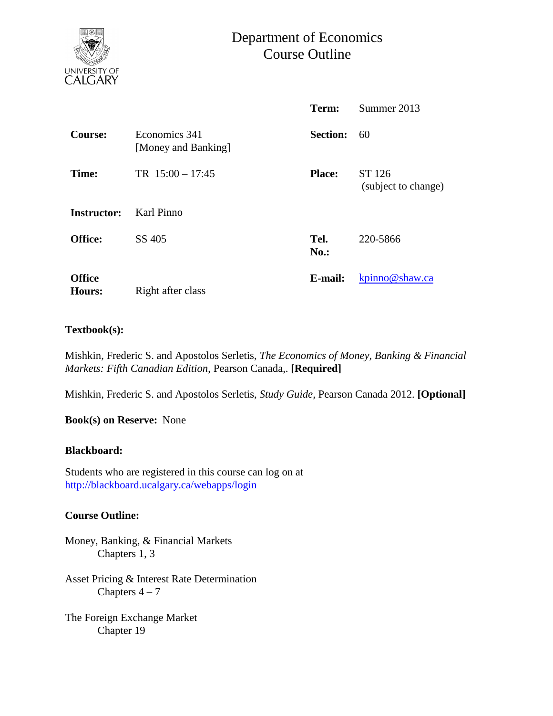

# Department of Economics Course Outline

|                                |                                      | Term:               | Summer 2013                   |  |
|--------------------------------|--------------------------------------|---------------------|-------------------------------|--|
| <b>Course:</b>                 | Economics 341<br>[Money and Banking] | <b>Section:</b>     | 60                            |  |
| Time:                          | TR $15:00 - 17:45$                   | <b>Place:</b>       | ST 126<br>(subject to change) |  |
| Instructor:                    | Karl Pinno                           |                     |                               |  |
| <b>Office:</b>                 | SS 405                               | Tel.<br><b>No.:</b> | 220-5866                      |  |
| <b>Office</b><br><b>Hours:</b> | Right after class                    | E-mail:             | kpinno@shaw.ca                |  |

### **Textbook(s):**

Mishkin, Frederic S. and Apostolos Serletis, *The Economics of Money, Banking & Financial Markets: Fifth Canadian Edition*, Pearson Canada,. **[Required]**

Mishkin, Frederic S. and Apostolos Serletis, *Study Guide,* Pearson Canada 2012. **[Optional]**

**Book(s) on Reserve:** None

#### **Blackboard:**

Students who are registered in this course can log on at <http://blackboard.ucalgary.ca/webapps/login>

# **Course Outline:**

Money, Banking, & Financial Markets Chapters 1, 3

Asset Pricing & Interest Rate Determination Chapters  $4 - 7$ 

The Foreign Exchange Market Chapter 19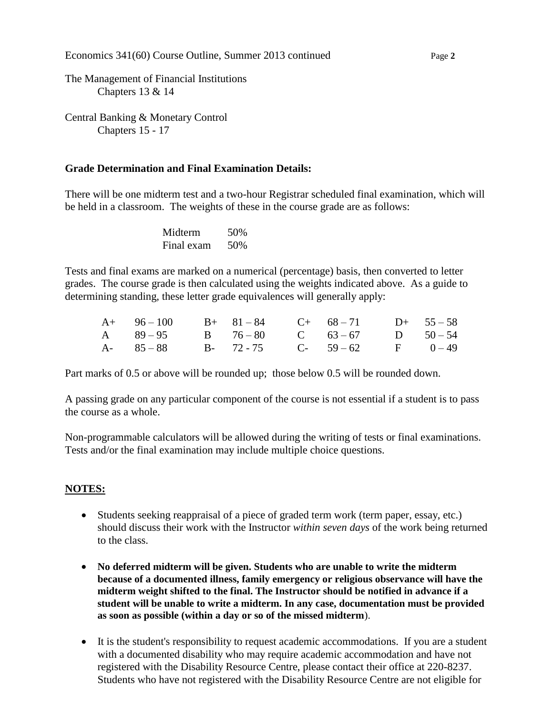Economics 341(60) Course Outline, Summer 2013 continued Page 2

The Management of Financial Institutions Chapters 13 & 14

Central Banking & Monetary Control Chapters 15 - 17

### **Grade Determination and Final Examination Details:**

There will be one midterm test and a two-hour Registrar scheduled final examination, which will be held in a classroom. The weights of these in the course grade are as follows:

> Midterm 50% Final exam 50%

Tests and final exams are marked on a numerical (percentage) basis, then converted to letter grades. The course grade is then calculated using the weights indicated above. As a guide to determining standing, these letter grade equivalences will generally apply:

| $A+ 96-100$ $B+ 81-84$ $C+ 68-71$ $D+ 55-58$ |  |  |  |
|----------------------------------------------|--|--|--|
| A 89-95 B 76-80 C 63-67 D 50-54              |  |  |  |
| A- 85 - 88 B- 72 - 75 C- 59 - 62 F 0 - 49    |  |  |  |

Part marks of 0.5 or above will be rounded up; those below 0.5 will be rounded down.

A passing grade on any particular component of the course is not essential if a student is to pass the course as a whole.

Non-programmable calculators will be allowed during the writing of tests or final examinations. Tests and/or the final examination may include multiple choice questions.

# **NOTES:**

- Students seeking reappraisal of a piece of graded term work (term paper, essay, etc.) should discuss their work with the Instructor *within seven days* of the work being returned to the class.
- **No deferred midterm will be given. Students who are unable to write the midterm because of a documented illness, family emergency or religious observance will have the midterm weight shifted to the final. The Instructor should be notified in advance if a student will be unable to write a midterm. In any case, documentation must be provided as soon as possible (within a day or so of the missed midterm**).
- It is the student's responsibility to request academic accommodations. If you are a student with a documented disability who may require academic accommodation and have not registered with the Disability Resource Centre, please contact their office at 220-8237. Students who have not registered with the Disability Resource Centre are not eligible for